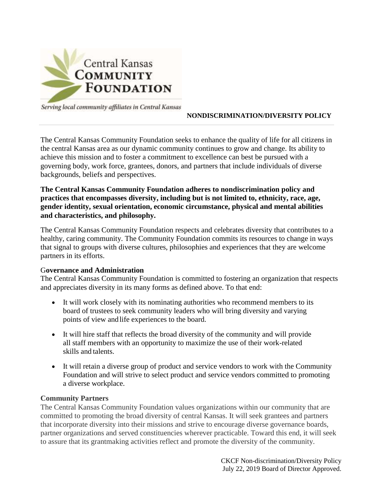

Serving local community affiliates in Central Kansas

### **NONDISCRIMINATION/DIVERSITY POLICY**

The Central Kansas Community Foundation seeks to enhance the quality of life for all citizens in the central Kansas area as our dynamic community continues to grow and change. Its ability to achieve this mission and to foster a commitment to excellence can best be pursued with a governing body, work force, grantees, donors, and partners that include individuals of diverse backgrounds, beliefs and perspectives.

## **The Central Kansas Community Foundation adheres to nondiscrimination policy and practices that encompasses diversity, including but is not limited to, ethnicity, race, age, gender identity, sexual orientation, economic circumstance, physical and mental abilities and characteristics, and philosophy.**

The Central Kansas Community Foundation respects and celebrates diversity that contributes to a healthy, caring community. The Community Foundation commits its resources to change in ways that signal to groups with diverse cultures, philosophies and experiences that they are welcome partners in its efforts.

#### G**overnance and Administration**

The Central Kansas Community Foundation is committed to fostering an organization that respects and appreciates diversity in its many forms as defined above. To that end:

- It will work closely with its nominating authorities who recommend members to its board of trustees to seek community leaders who will bring diversity and varying points of view andlife experiences to the board.
- It will hire staff that reflects the broad diversity of the community and will provide all staff members with an opportunity to maximize the use of their work-related skills and talents.
- It will retain a diverse group of product and service vendors to work with the Community Foundation and will strive to select product and service vendors committed to promoting a diverse workplace.

#### **Community Partners**

The Central Kansas Community Foundation values organizations within our community that are committed to promoting the broad diversity of central Kansas. It will seek grantees and partners that incorporate diversity into their missions and strive to encourage diverse governance boards, partner organizations and served constituencies wherever practicable. Toward this end, it will seek to assure that its grantmaking activities reflect and promote the diversity of the community.